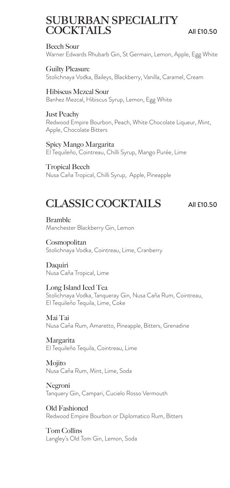# SUBURBAN SPECIALITY  $\text{COCKTAILS}$  All £10.50

#### Beech Sour

Warner Edwards Rhubarb Gin, St Germain, Lemon, Apple, Egg White

Guilty Pleasure

Stolichnaya Vodka, Baileys, Blackberry, Vanilla, Caramel, Cream

#### Hibiscus Mezcal Sour

Banhez Mezcal, Hibiscus Syrup, Lemon, Egg White

#### Just Peachy

Redwood Empire Bourbon, Peach, White Chocolate Liqueur, Mint, Apple, Chocolate Bitters

#### Spicy Mango Margarita

El Tequileño, Cointreau, Chilli Syrup, Mango Purée, Lime

#### Tropical Beech

Nusa Caña Tropical, Chilli Syrup, Apple, Pineapple

# CLASSIC COCKTAILS All £10.50

Bramble Manchester Blackberry Gin, Lemon

**Cosmopolitan** Stolichnaya Vodka, Cointreau, Lime, Cranberry

Daquiri Nusa Caña Tropical, Lime

#### Long Island Iced Tea

Stolichnaya Vodka, Tanqueray Gin, Nusa Caña Rum, Cointreau, El Tequileño Tequila, Lime, Coke

Mai Tai Nusa Caña Rum, Amaretto, Pineapple, Bitters, Grenadine

Margarita El Tequileño Tequila, Cointreau, Lime

Mojito Nusa Caña Rum, Mint, Lime, Soda

Negroni Tanquery Gin, Campari, Cucielo Rosso Vermouth

Old Fashioned Redwood Empire Bourbon or Diplomatico Rum, Bitters

Tom Collins Langley's Old Tom Gin, Lemon, Soda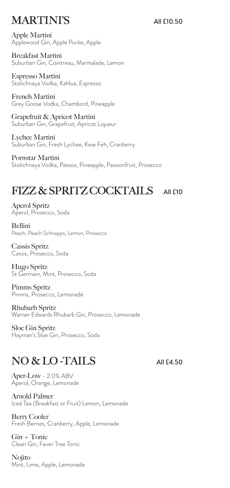# MARTINI'S All £10.50

Apple Martini Applewood Gin, Apple Purée, Apple

Breakfast Martini Suburban Gin, Cointreau, Marmalade, Lemon

Espresso Martini Stolichnaya Vodka, Kahlua, Espresso

French Martini Grey Goose Vodka, Chambord, Pineapple

Grapefruit & Apricot Martini Suburban Gin, Grapefruit, Apricot Liqueur

Lychee Martini Suburban Gin, Fresh Lychee, Kwai Feh, Cranberry

Pornstar Martini Stolichnaya Vodka, Passoa, Pineapple, Passionfruit, Prosecco

# FIZZ & SPRITZ COCKTAILS AII £10

Aperol Spritz Aperol, Prosecco, Soda

Bellini Peach, Peach Schnapps, Lemon, Prosecco

Cassis Spritz Cassis, Prosecco, Soda

Hugo Spritz St Germain, Mint, Prosecco, Soda

Pimms Spritz Pimms, Prosecco, Lemonade

Rhubarb Spritz Warner Edwards Rhubarb Gin, Prosecco, Lemonade

Sloe Gin Spritz Hayman's Sloe Gin, Prosecco, Soda

# NO & LO-TAILS All £4.50

Aper-Low - 2.0% ABV Aperol, Orange, Lemonade

Arnold Palmer Iced Tea (Breakfast or Fruit) Lemon, Lemonade

Berry Cooler Fresh Berries, Cranberry, Apple, Lemonade

Gin + Tonic Clean Gin, Fever Tree Tonic

Nojito Mint, Lime, Apple, Lemonade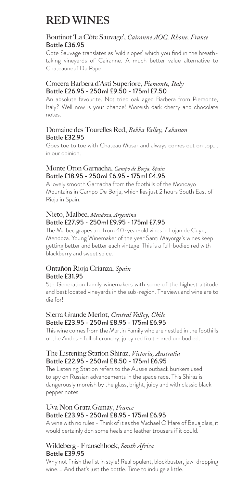# RED WINES

#### Boutinot 'La Côte Sauvage', *Cairanne AOC, Rhone, France*  Bottle £36.95

Cote Sauvage translates as 'wild slopes' which you find in the breathtaking vineyards of Cairanne. A much better value alternative to Chateauneuf Du Pape.

#### Crocera Barbera d'Asti Superiore, *Piemonte, Italy*  Bottle £26.95 - 250ml £9.50 - 175ml £7.50

An absolute favourite. Not tried oak aged Barbera from Piemonte, Italy? Well now is your chance! Moreish dark cherry and chocolate notes.

#### Domaine des Tourelles Red, *Bekka Valley, Lebanon* Bottle £32.95

Goes toe to toe with Chateau Musar and always comes out on top…. in our opinion.

#### Monte Oton Garnacha, *Campo de Borja, Spain*  Bottle £18.95 - 250ml £6.95 - 175ml £4.95

A lovely smooth Garnacha from the foothills of the Moncayo Mountains in Campo De Borja, which lies just 2 hours South East of Rioja in Spain.

#### Nieto, Malbec, *Mendoza, Argentina* Bottle £27.95 - 250ml £9.95 - 175ml £7.95

The Malbec grapes are from 40-year-old vines in Lujan de Cuyo, Mendoza. Young Winemaker of the year Santi Mayorga's wines keep getting better and better each vintage. This is a full-bodied red with blackberry and sweet spice.

#### Ontañón Rioja Crianza, *Spain*  Bottle £31.95

5th Generation family winemakers with some of the highest altitude and best located vineyards in the sub-region. The views and wine are to die for!

#### Sierra Grande Merlot, *Central Valley, Chile*  Bottle £23.95 - 250ml £8.95 - 175ml £6.95

This wine comes from the Martin Family who are nestled in the foothills of the Andes - full of crunchy, juicy red fruit - medium bodied.

#### The Listening Station Shiraz, *Victoria, Australia* Bottle £22.95 - 250ml £8.50 - 175ml £6.95

The Listening Station refers to the Aussie outback bunkers used to spy on Russian advancements in the space race. This Shiraz is dangerously moreish by the glass, bright, juicy and with classic black pepper notes.

#### Uva Non Grata Gamay, *France*  Bottle £23.95 - 250ml £8.95 - 175ml £6.95

A wine with no rules - Think of it as the Michael O'Hare of Beuajolais, it would certainly don some heals and leather trousers if it could.

### Wildeberg - Franschhoek, *South Africa* Bottle £39.95

Why not finish the list in style! Real opulent, blockbuster, jaw-dropping wine…. And that's just the bottle. Time to indulge a little.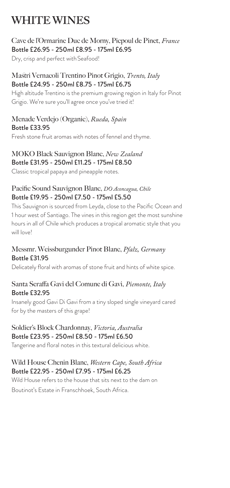# WHITE WINES

## Cave de l'Ormarine Duc de Morny, Picpoul de Pinet, *France*  Bottle £26.95 - 250ml £8.95 - 175ml £6.95

Dry, crisp and perfect with Seafood!

### Mastri Vernacoli Trentino Pinot Grigio, *Trento, Italy* Bottle £24.95 - 250ml £8.75 - 175ml £6.75

High altitude Trentino is the premium growing region in Italy for Pinot Grigio. We're sure you'll agree once you've tried it!

#### Menade Verdejo (Organic), *Rueda, Spain* Bottle £33.95

Fresh stone fruit aromas with notes of fennel and thyme.

### MOKO Black Sauvignon Blanc, *New Zealand*  Bottle £31.95 - 250ml £11.25 - 175ml £8.50

Classic tropical papaya and pineapple notes.

### Pacific Sound Sauvignon Blanc, *DO Aconcagua, Chile* Bottle £19.95 - 250ml £7.50 - 175ml £5.50

This Sauvignon is sourced from Leyda, close to the Pacific Ocean and 1 hour west of Santiago. The vines in this region get the most sunshine hours in all of Chile which produces a tropical aromatic style that you will love<sup>!</sup>

### Messmr. Weissburgunder Pinot Blanc, *Pfalz, Germany* Bottle £31.95

Delicately floral with aromas of stone fruit and hints of white spice.

### Santa Seraffa Gavi del Comune di Gavi, *Piemonte, Italy*  Bottle £32.95

Insanely good Gavi Di Gavi from a tiny sloped single vineyard cared for by the masters of this grape!

### Soldier's Block Chardonnay, *Victoria, Australia*  Bottle £23.95 - 250ml £8.50 - 175ml £6.50

Tangerine and floral notes in this textural delicious white.

### Wild House Chenin Blanc, *Western Cape, South Africa*  Bottle £22.95 - 250ml £7.95 - 175ml £6.25

Wild House refers to the house that sits next to the dam on Boutinot's Estate in Franschhoek, South Africa.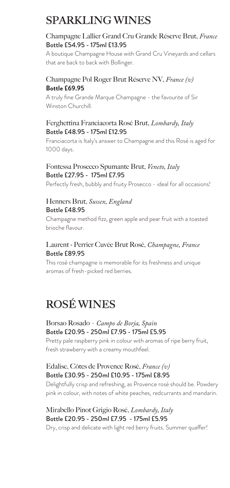# SPARKLING WINES

### Champagne Lallier Grand Cru Grande Réserve Brut, *France* Bottle £54.95 - 175ml £13.95

A boutique Champagne House with Grand Cru Vineyards and cellars that are back to back with Bollinger.

### Champagne Pol Roger Brut Réserve NV, *France (v)* **Bottle £69.95**

A truly fine Grande Marque Champagne - the favourite of Sir Winston Churchill.

### Ferghettina Franciacorta Rosé Brut, *Lombardy, Italy*  Bottle £48.95 - 175ml £12.95

Franciacorta is Italy's answer to Champagne and this Rosé is aged for 1000 days.

### Fontessa Prosecco Spumante Brut, *Veneto, Italy* Bottle £27.95 - 175ml £7.95

Perfectly fresh, bubbly and fruity Prosecco - ideal for all occasions!

#### Henners Brut, *Sussex, England*  Bottle £48.95

Champagne method fizz, green apple and pear fruit with a toasted brioche flavour.

### Laurent - Perrier Cuvée Brut Rosé, *Champagne, France*  Bottle £89.95

This rosé champagne is memorable for its freshness and unique aromas of fresh-picked red berries.

# ROSÉ WINES

### Borsao Rosado - *Campo de Borja, Spain*  Bottle £20.95 - 250ml £7.95 - 175ml £5.95

Pretty pale raspberry pink in colour with aromas of ripe berry fruit, fresh strawberry with a creamy mouthfeel.

### Edalise, Côtes de Provence Rosé, *France (v)* Bottle £30.95 - 250ml £10.95 - 175ml £8.95

Delightfully crisp and refreshing, as Provence rosé should be. Powdery pink in colour, with notes of white peaches, redcurrants and mandarin.

### Mirabello Pinot Grigio Rosé, *Lombardy, Italy*  Bottle £20.95 - 250ml £7.95 - 175ml £5.95

Dry, crisp and delicate with light red berry fruits. Summer quaffer!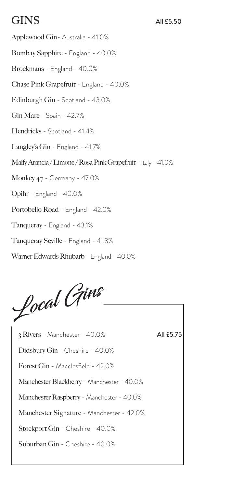# $\text{GINS}$  all £5.50

Applewood Gin- Australia - 41.0% Bombay Sapphire - England - 40.0% Brockmans - England - 40.0% Chase Pink Grapefruit - England - 40.0% Edinburgh Gin - Scotland - 43.0% Gin Mare - Spain - 42.7% Hendricks - Scotland - 41.4% Langley's Gin - England - 41.7% Malfy Arancia / Limone / Rosa Pink Grapefruit - Italy - 41.0% Monkey 47 - Germany - 47.0% Opihr - England - 40.0% Portobello Road - England - 42.0% Tanqueray - England - 43.1% Tanqueray Seville - England - 41.3% Warner Edwards Rhubarb - England - 40.0%



3 Rivers - Manchester - 40.0% Didsbury Gin - Cheshire - 40.0% Forest Gin - Macclesfield - 42.0% Manchester Blackberry - Manchester - 40.0% Manchester Raspberry - Manchester - 40.0% Manchester Signature - Manchester - 42.0% Stockport Gin - Cheshire - 40.0% Suburban Gin - Cheshire - 40.0%

All £5.75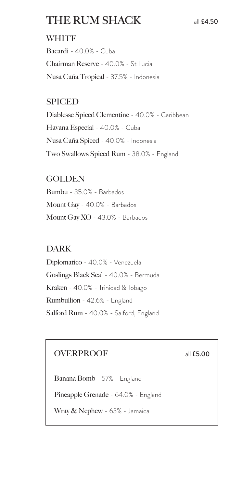# THE RUM SHACK all £4.50

## **WHITE**

Bacardi - 40.0% - Cuba Chairman Reserve - 40.0% - St Lucia Nusa Caña Tropical - 37.5% - Indonesia

## SPICED

Diablesse Spiced Clementine - 40.0% - Caribbean Havana Especial - 40.0% - Cuba Nusa Caña Spiced - 40.0% - Indonesia Two Swallows Spiced Rum - 38.0% - England

## **GOLDEN**

Bumbu - 35.0% - Barbados Mount Gay - 40.0% - Barbados Mount Gay XO - 43.0% - Barbados

## DARK

Diplomatico - 40.0% - Venezuela Goslings Black Seal - 40.0% - Bermuda Kraken - 40.0% - Trinidad & Tobago Rumbullion - 42.6% - England Salford Rum - 40.0% - Salford, England

## OVERPROOF all **£5.00**

Banana Bomb - 57% - England Pineapple Grenade - 64.0% - England Wray & Nephew - 63% - Jamaica